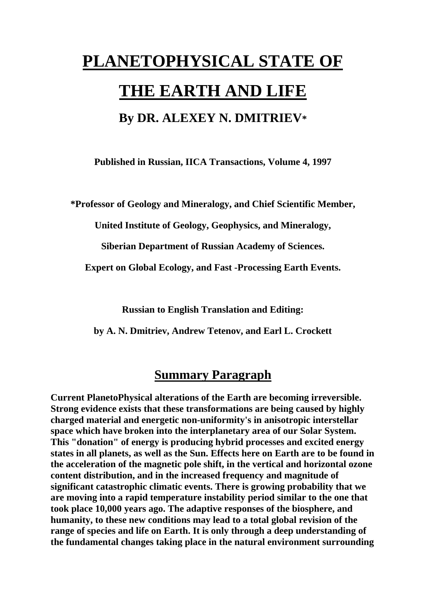# **PLANETOPHYSICAL STATE OF THE EARTH AND LIFE By DR. ALEXEY N. DMITRIEV\***

**Published in Russian, IICA Transactions, Volume 4, 1997**

**\*Professor of Geology and Mineralogy, and Chief Scientific Member,**

**United Institute of Geology, Geophysics, and Mineralogy,**

**Siberian Department of Russian Academy of Sciences.**

**Expert on Global Ecology, and Fast -Processing Earth Events.**

**Russian to English Translation and Editing:**

**by A. N. Dmitriev, Andrew Tetenov, and Earl L. Crockett**

### **Summary Paragraph**

**Current PlanetoPhysical alterations of the Earth are becoming irreversible. Strong evidence exists that these transformations are being caused by highly charged material and energetic non-uniformity's in anisotropic interstellar space which have broken into the interplanetary area of our Solar System. This "donation" of energy is producing hybrid processes and excited energy states in all planets, as well as the Sun. Effects here on Earth are to be found in the acceleration of the magnetic pole shift, in the vertical and horizontal ozone content distribution, and in the increased frequency and magnitude of significant catastrophic climatic events. There is growing probability that we are moving into a rapid temperature instability period similar to the one that took place 10,000 years ago. The adaptive responses of the biosphere, and humanity, to these new conditions may lead to a total global revision of the range of species and life on Earth. It is only through a deep understanding of the fundamental changes taking place in the natural environment surrounding**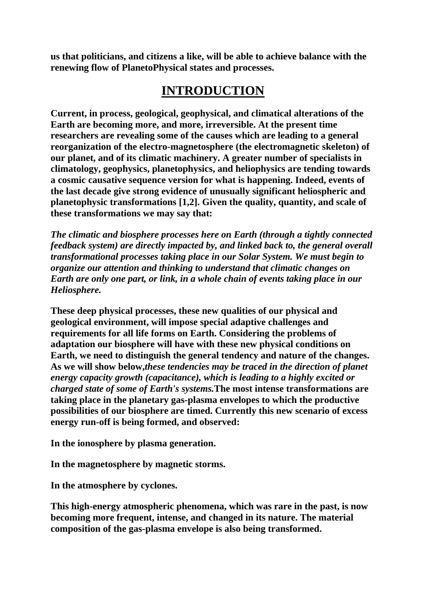**us that politicians, and citizens a like, will be able to achieve balance with the renewing flow of PlanetoPhysical states and processes.**

## **INTRODUCTION**

**Current, in process, geological, geophysical, and climatical alterations of the Earth are becoming more, and more, irreversible. At the present time researchers are revealing some of the causes which are leading to a general reorganization of the electro-magnetosphere (the electromagnetic skeleton) of our planet, and of its climatic machinery. A greater number of specialists in climatology, geophysics, planetophysics, and heliophysics are tending towards a cosmic causative sequence version for what is happening. Indeed, events of the last decade give strong evidence of unusually significant heliospheric and planetophysic transformations [1,2]. Given the quality, quantity, and scale of these transformations we may say that:**

*The climatic and biosphere processes here on Earth (through a tightly connected feedback system) are directly impacted by, and linked back to, the general overall transformational processes taking place in our Solar System. We must begin to organize our attention and thinking to understand that climatic changes on Earth are only one part, or link, in a whole chain of events taking place in our Heliosphere.*

**These deep physical processes, these new qualities of our physical and geological environment, will impose special adaptive challenges and requirements for all life forms on Earth. Considering the problems of adaptation our biosphere will have with these new physical conditions on Earth, we need to distinguish the general tendency and nature of the changes. As we will show below,***these tendencies may be traced in the direction of planet energy capacity growth (capacitance), which is leading to a highly excited or charged state of some of Earth's systems.***The most intense transformations are taking place in the planetary gas-plasma envelopes to which the productive possibilities of our biosphere are timed. Currently this new scenario of excess energy run-off is being formed, and observed:**

**In the ionosphere by plasma generation.**

**In the magnetosphere by magnetic storms.**

**In the atmosphere by cyclones.**

**This high-energy atmospheric phenomena, which was rare in the past, is now becoming more frequent, intense, and changed in its nature. The material composition of the gas-plasma envelope is also being transformed.**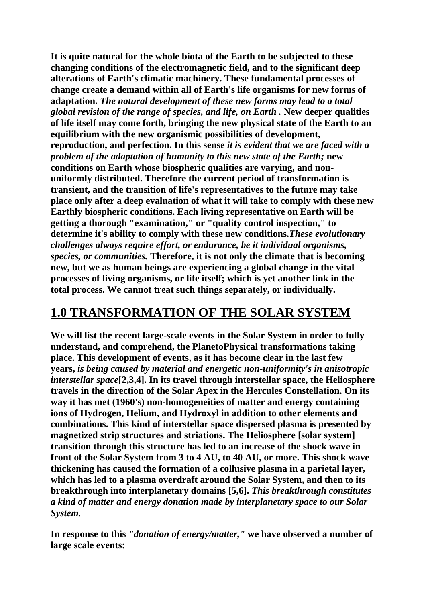**It is quite natural for the whole biota of the Earth to be subjected to these changing conditions of the electromagnetic field, and to the significant deep alterations of Earth's climatic machinery. These fundamental processes of change create a demand within all of Earth's life organisms for new forms of adaptation.** *The natural development of these new forms may lead to a total global revision of the range of species, and life, on Earth .* **New deeper qualities of life itself may come forth, bringing the new physical state of the Earth to an equilibrium with the new organismic possibilities of development, reproduction, and perfection. In this sense** *it is evident that we are faced with a problem of the adaptation of humanity to this new state of the Earth;* **new conditions on Earth whose biospheric qualities are varying, and nonuniformly distributed. Therefore the current period of transformation is transient, and the transition of life's representatives to the future may take place only after a deep evaluation of what it will take to comply with these new Earthly biospheric conditions. Each living representative on Earth will be getting a thorough "examination," or "quality control inspection," to determine it's ability to comply with these new conditions.***These evolutionary challenges always require effort, or endurance, be it individual organisms, species, or communities.* **Therefore, it is not only the climate that is becoming new, but we as human beings are experiencing a global change in the vital processes of living organisms, or life itself; which is yet another link in the total process. We cannot treat such things separately, or individually.**

## **1.0 TRANSFORMATION OF THE SOLAR SYSTEM**

**We will list the recent large-scale events in the Solar System in order to fully understand, and comprehend, the PlanetoPhysical transformations taking place. This development of events, as it has become clear in the last few years,** *is being caused by material and energetic non-uniformity's in anisotropic interstellar space***[2,3,4]. In its travel through interstellar space, the Heliosphere travels in the direction of the Solar Apex in the Hercules Constellation. On its way it has met (1960's) non-homogeneities of matter and energy containing ions of Hydrogen, Helium, and Hydroxyl in addition to other elements and combinations. This kind of interstellar space dispersed plasma is presented by magnetized strip structures and striations. The Heliosphere [solar system] transition through this structure has led to an increase of the shock wave in front of the Solar System from 3 to 4 AU, to 40 AU, or more. This shock wave thickening has caused the formation of a collusive plasma in a parietal layer, which has led to a plasma overdraft around the Solar System, and then to its breakthrough into interplanetary domains [5,6].** *This breakthrough constitutes a kind of matter and energy donation made by interplanetary space to our Solar System.*

**In response to this** *"donation of energy/matter,"* **we have observed a number of large scale events:**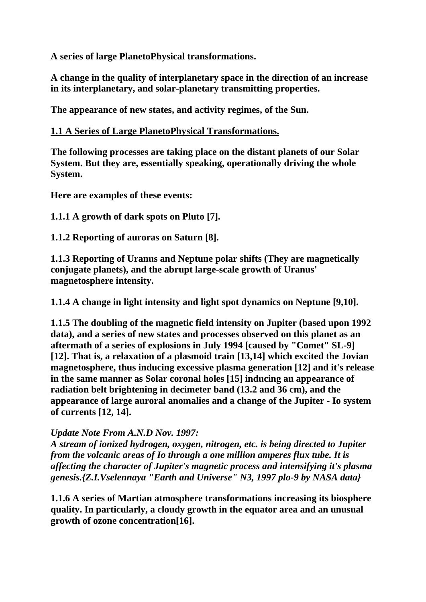**A series of large PlanetoPhysical transformations.**

**A change in the quality of interplanetary space in the direction of an increase in its interplanetary, and solar-planetary transmitting properties.**

**The appearance of new states, and activity regimes, of the Sun.**

#### **1.1 A Series of Large PlanetoPhysical Transformations.**

**The following processes are taking place on the distant planets of our Solar System. But they are, essentially speaking, operationally driving the whole System.**

**Here are examples of these events:**

**1.1.1 A growth of dark spots on Pluto [7].**

**1.1.2 Reporting of auroras on Saturn [8].**

**1.1.3 Reporting of Uranus and Neptune polar shifts (They are magnetically conjugate planets), and the abrupt large-scale growth of Uranus' magnetosphere intensity.**

**1.1.4 A change in light intensity and light spot dynamics on Neptune [9,10].**

**1.1.5 The doubling of the magnetic field intensity on Jupiter (based upon 1992 data), and a series of new states and processes observed on this planet as an aftermath of a series of explosions in July 1994 [caused by "Comet" SL-9] [12]. That is, a relaxation of a plasmoid train [13,14] which excited the Jovian magnetosphere, thus inducing excessive plasma generation [12] and it's release in the same manner as Solar coronal holes [15] inducing an appearance of radiation belt brightening in decimeter band (13.2 and 36 cm), and the appearance of large auroral anomalies and a change of the Jupiter - Io system of currents [12, 14].**

#### *Update Note From A.N.D Nov. 1997:*

*A stream of ionized hydrogen, oxygen, nitrogen, etc. is being directed to Jupiter from the volcanic areas of Io through a one million amperes flux tube. It is affecting the character of Jupiter's magnetic process and intensifying it's plasma genesis.{Z.I.Vselennaya "Earth and Universe" N3, 1997 plo-9 by NASA data}*

**1.1.6 A series of Martian atmosphere transformations increasing its biosphere quality. In particularly, a cloudy growth in the equator area and an unusual growth of ozone concentration[16].**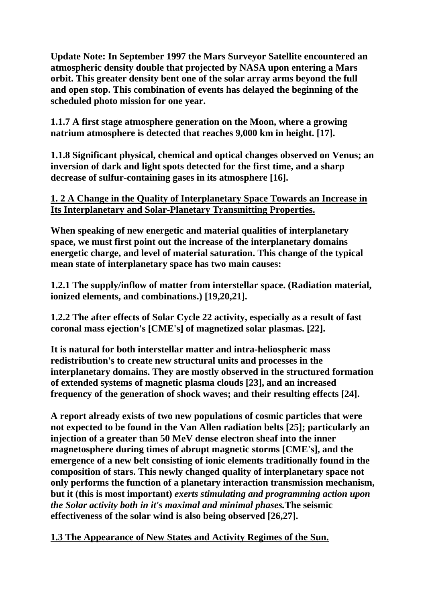**Update Note: In September 1997 the Mars Surveyor Satellite encountered an atmospheric density double that projected by NASA upon entering a Mars orbit. This greater density bent one of the solar array arms beyond the full and open stop. This combination of events has delayed the beginning of the scheduled photo mission for one year.**

**1.1.7 A first stage atmosphere generation on the Moon, where a growing natrium atmosphere is detected that reaches 9,000 km in height. [17].**

**1.1.8 Significant physical, chemical and optical changes observed on Venus; an inversion of dark and light spots detected for the first time, and a sharp decrease of sulfur-containing gases in its atmosphere [16].**

#### **1. 2 A Change in the Quality of Interplanetary Space Towards an Increase in Its Interplanetary and Solar-Planetary Transmitting Properties.**

**When speaking of new energetic and material qualities of interplanetary space, we must first point out the increase of the interplanetary domains energetic charge, and level of material saturation. This change of the typical mean state of interplanetary space has two main causes:**

**1.2.1 The supply/inflow of matter from interstellar space. (Radiation material, ionized elements, and combinations.) [19,20,21].**

**1.2.2 The after effects of Solar Cycle 22 activity, especially as a result of fast coronal mass ejection's [CME's] of magnetized solar plasmas. [22].**

**It is natural for both interstellar matter and intra-heliospheric mass redistribution's to create new structural units and processes in the interplanetary domains. They are mostly observed in the structured formation of extended systems of magnetic plasma clouds [23], and an increased frequency of the generation of shock waves; and their resulting effects [24].**

**A report already exists of two new populations of cosmic particles that were not expected to be found in the Van Allen radiation belts [25]; particularly an injection of a greater than 50 MeV dense electron sheaf into the inner magnetosphere during times of abrupt magnetic storms [CME's], and the emergence of a new belt consisting of ionic elements traditionally found in the composition of stars. This newly changed quality of interplanetary space not only performs the function of a planetary interaction transmission mechanism, but it (this is most important)** *exerts stimulating and programming action upon the Solar activity both in it's maximal and minimal phases.***The seismic effectiveness of the solar wind is also being observed [26,27].**

**1.3 The Appearance of New States and Activity Regimes of the Sun.**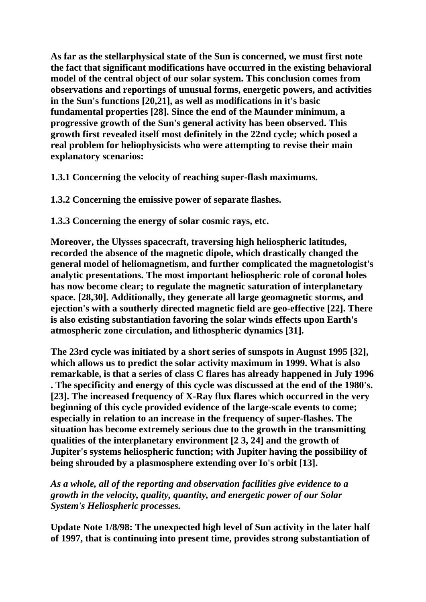**As far as the stellarphysical state of the Sun is concerned, we must first note the fact that significant modifications have occurred in the existing behavioral model of the central object of our solar system. This conclusion comes from observations and reportings of unusual forms, energetic powers, and activities in the Sun's functions [20,21], as well as modifications in it's basic fundamental properties [28]. Since the end of the Maunder minimum, a progressive growth of the Sun's general activity has been observed. This growth first revealed itself most definitely in the 22nd cycle; which posed a real problem for heliophysicists who were attempting to revise their main explanatory scenarios:**

**1.3.1 Concerning the velocity of reaching super-flash maximums.**

**1.3.2 Concerning the emissive power of separate flashes.**

**1.3.3 Concerning the energy of solar cosmic rays, etc.**

**Moreover, the Ulysses spacecraft, traversing high heliospheric latitudes, recorded the absence of the magnetic dipole, which drastically changed the general model of heliomagnetism, and further complicated the magnetologist's analytic presentations. The most important heliospheric role of coronal holes has now become clear; to regulate the magnetic saturation of interplanetary space. [28,30]. Additionally, they generate all large geomagnetic storms, and ejection's with a southerly directed magnetic field are geo-effective [22]. There is also existing substantiation favoring the solar winds effects upon Earth's atmospheric zone circulation, and lithospheric dynamics [31].**

**The 23rd cycle was initiated by a short series of sunspots in August 1995 [32], which allows us to predict the solar activity maximum in 1999. What is also remarkable, is that a series of class C flares has already happened in July 1996 . The specificity and energy of this cycle was discussed at the end of the 1980's. [23]. The increased frequency of X-Ray flux flares which occurred in the very beginning of this cycle provided evidence of the large-scale events to come; especially in relation to an increase in the frequency of super-flashes. The situation has become extremely serious due to the growth in the transmitting qualities of the interplanetary environment [2 3, 24] and the growth of Jupiter's systems heliospheric function; with Jupiter having the possibility of being shrouded by a plasmosphere extending over Io's orbit [13].**

*As a whole, all of the reporting and observation facilities give evidence to a growth in the velocity, quality, quantity, and energetic power of our Solar System's Heliospheric processes.*

**Update Note 1/8/98: The unexpected high level of Sun activity in the later half of 1997, that is continuing into present time, provides strong substantiation of**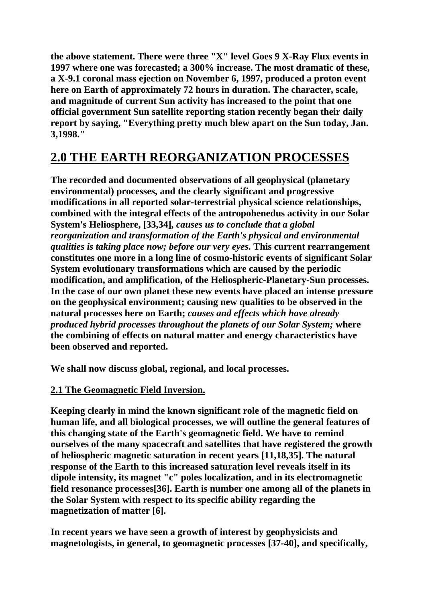**the above statement. There were three "X" level Goes 9 X-Ray Flux events in 1997 where one was forecasted; a 300% increase. The most dramatic of these, a X-9.1 coronal mass ejection on November 6, 1997, produced a proton event here on Earth of approximately 72 hours in duration. The character, scale, and magnitude of current Sun activity has increased to the point that one official government Sun satellite reporting station recently began their daily report by saying, "Everything pretty much blew apart on the Sun today, Jan. 3,1998."**

# **2.0 THE EARTH REORGANIZATION PROCESSES**

**The recorded and documented observations of all geophysical (planetary environmental) processes, and the clearly significant and progressive modifications in all reported solar-terrestrial physical science relationships, combined with the integral effects of the antropohenedus activity in our Solar System's Heliosphere, [33,34],** *causes us to conclude that a global reorganization and transformation of the Earth's physical and environmental qualities is taking place now; before our very eyes.* **This current rearrangement constitutes one more in a long line of cosmo-historic events of significant Solar System evolutionary transformations which are caused by the periodic modification, and amplification, of the Heliospheric-Planetary-Sun processes. In the case of our own planet these new events have placed an intense pressure on the geophysical environment; causing new qualities to be observed in the natural processes here on Earth;** *causes and effects which have already produced hybrid processes throughout the planets of our Solar System;* **where the combining of effects on natural matter and energy characteristics have been observed and reported.**

**We shall now discuss global, regional, and local processes.**

#### **2.1 The Geomagnetic Field Inversion.**

**Keeping clearly in mind the known significant role of the magnetic field on human life, and all biological processes, we will outline the general features of this changing state of the Earth's geomagnetic field. We have to remind ourselves of the many spacecraft and satellites that have registered the growth of heliospheric magnetic saturation in recent years [11,18,35]. The natural response of the Earth to this increased saturation level reveals itself in its dipole intensity, its magnet "c" poles localization, and in its electromagnetic field resonance processes[36]. Earth is number one among all of the planets in the Solar System with respect to its specific ability regarding the magnetization of matter [6].**

**In recent years we have seen a growth of interest by geophysicists and magnetologists, in general, to geomagnetic processes [37-40], and specifically,**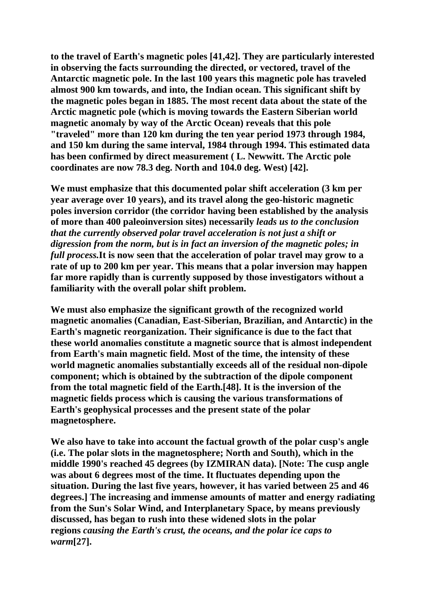**to the travel of Earth's magnetic poles [41,42]. They are particularly interested in observing the facts surrounding the directed, or vectored, travel of the Antarctic magnetic pole. In the last 100 years this magnetic pole has traveled almost 900 km towards, and into, the Indian ocean. This significant shift by the magnetic poles began in 1885. The most recent data about the state of the Arctic magnetic pole (which is moving towards the Eastern Siberian world magnetic anomaly by way of the Arctic Ocean) reveals that this pole "traveled" more than 120 km during the ten year period 1973 through 1984, and 150 km during the same interval, 1984 through 1994. This estimated data has been confirmed by direct measurement ( L. Newwitt. The Arctic pole coordinates are now 78.3 deg. North and 104.0 deg. West) [42].**

**We must emphasize that this documented polar shift acceleration (3 km per year average over 10 years), and its travel along the geo-historic magnetic poles inversion corridor (the corridor having been established by the analysis of more than 400 paleoinversion sites) necessarily** *leads us to the conclusion that the currently observed polar travel acceleration is not just a shift or digression from the norm, but is in fact an inversion of the magnetic poles; in full process.***It is now seen that the acceleration of polar travel may grow to a rate of up to 200 km per year. This means that a polar inversion may happen far more rapidly than is currently supposed by those investigators without a familiarity with the overall polar shift problem.**

**We must also emphasize the significant growth of the recognized world magnetic anomalies (Canadian, East-Siberian, Brazilian, and Antarctic) in the Earth's magnetic reorganization. Their significance is due to the fact that these world anomalies constitute a magnetic source that is almost independent from Earth's main magnetic field. Most of the time, the intensity of these world magnetic anomalies substantially exceeds all of the residual non-dipole component; which is obtained by the subtraction of the dipole component from the total magnetic field of the Earth.[48]. It is the inversion of the magnetic fields process which is causing the various transformations of Earth's geophysical processes and the present state of the polar magnetosphere.**

**We also have to take into account the factual growth of the polar cusp's angle (i.e. The polar slots in the magnetosphere; North and South), which in the middle 1990's reached 45 degrees (by IZMIRAN data). [Note: The cusp angle was about 6 degrees most of the time. It fluctuates depending upon the situation. During the last five years, however, it has varied between 25 and 46 degrees.] The increasing and immense amounts of matter and energy radiating from the Sun's Solar Wind, and Interplanetary Space, by means previously discussed, has began to rush into these widened slots in the polar regions** *causing the Earth's crust, the oceans, and the polar ice caps to warm***[27].**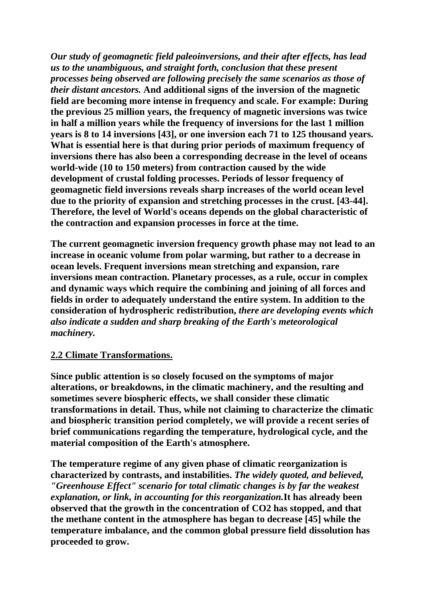*Our study of geomagnetic field paleoinversions, and their after effects, has lead us to the unambiguous, and straight forth, conclusion that these present processes being observed are following precisely the same scenarios as those of their distant ancestors.* **And additional signs of the inversion of the magnetic field are becoming more intense in frequency and scale. For example: During the previous 25 million years, the frequency of magnetic inversions was twice in half a million years while the frequency of inversions for the last 1 million years is 8 to 14 inversions [43], or one inversion each 71 to 125 thousand years. What is essential here is that during prior periods of maximum frequency of inversions there has also been a corresponding decrease in the level of oceans world-wide (10 to 150 meters) from contraction caused by the wide development of crustal folding processes. Periods of lessor frequency of geomagnetic field inversions reveals sharp increases of the world ocean level due to the priority of expansion and stretching processes in the crust. [43-44]. Therefore, the level of World's oceans depends on the global characteristic of the contraction and expansion processes in force at the time.**

**The current geomagnetic inversion frequency growth phase may not lead to an increase in oceanic volume from polar warming, but rather to a decrease in ocean levels. Frequent inversions mean stretching and expansion, rare inversions mean contraction. Planetary processes, as a rule, occur in complex and dynamic ways which require the combining and joining of all forces and fields in order to adequately understand the entire system. In addition to the consideration of hydrospheric redistribution,** *there are developing events which also indicate a sudden and sharp breaking of the Earth's meteorological machinery.*

#### **2.2 Climate Transformations.**

**Since public attention is so closely focused on the symptoms of major alterations, or breakdowns, in the climatic machinery, and the resulting and sometimes severe biospheric effects, we shall consider these climatic transformations in detail. Thus, while not claiming to characterize the climatic and biospheric transition period completely, we will provide a recent series of brief communications regarding the temperature, hydrological cycle, and the material composition of the Earth's atmosphere.**

**The temperature regime of any given phase of climatic reorganization is characterized by contrasts, and instabilities.** *The widely quoted, and believed, "Greenhouse Effect" scenario for total climatic changes is by far the weakest explanation, or link, in accounting for this reorganization.***It has already been observed that the growth in the concentration of CO2 has stopped, and that the methane content in the atmosphere has began to decrease [45] while the temperature imbalance, and the common global pressure field dissolution has proceeded to grow.**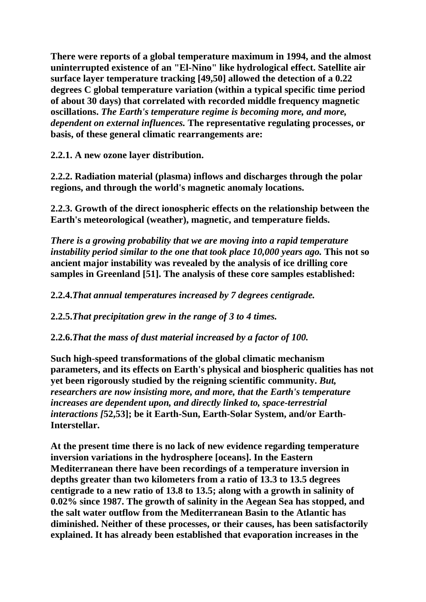**There were reports of a global temperature maximum in 1994, and the almost uninterrupted existence of an "El-Nino" like hydrological effect. Satellite air surface layer temperature tracking [49,50] allowed the detection of a 0.22 degrees C global temperature variation (within a typical specific time period of about 30 days) that correlated with recorded middle frequency magnetic oscillations.** *The Earth's temperature regime is becoming more, and more, dependent on external influences.* **The representative regulating processes, or basis, of these general climatic rearrangements are:**

**2.2.1. A new ozone layer distribution.**

**2.2.2. Radiation material (plasma) inflows and discharges through the polar regions, and through the world's magnetic anomaly locations.**

**2.2.3. Growth of the direct ionospheric effects on the relationship between the Earth's meteorological (weather), magnetic, and temperature fields.**

*There is a growing probability that we are moving into a rapid temperature instability period similar to the one that took place 10,000 years ago.* **This not so ancient major instability was revealed by the analysis of ice drilling core samples in Greenland [51]. The analysis of these core samples established:**

**2.2.4.***That annual temperatures increased by 7 degrees centigrade.*

**2.2.5.***That precipitation grew in the range of 3 to 4 times.*

**2.2.6.***That the mass of dust material increased by a factor of 100.*

**Such high-speed transformations of the global climatic mechanism parameters, and its effects on Earth's physical and biospheric qualities has not yet been rigorously studied by the reigning scientific community.** *But, researchers are now insisting more, and more, that the Earth's temperature increases are dependent upon, and directly linked to, space-terrestrial interactions [***52,53]; be it Earth-Sun, Earth-Solar System, and/or Earth-Interstellar.**

**At the present time there is no lack of new evidence regarding temperature inversion variations in the hydrosphere [oceans]. In the Eastern Mediterranean there have been recordings of a temperature inversion in depths greater than two kilometers from a ratio of 13.3 to 13.5 degrees centigrade to a new ratio of 13.8 to 13.5; along with a growth in salinity of 0.02% since 1987. The growth of salinity in the Aegean Sea has stopped, and the salt water outflow from the Mediterranean Basin to the Atlantic has diminished. Neither of these processes, or their causes, has been satisfactorily explained. It has already been established that evaporation increases in the**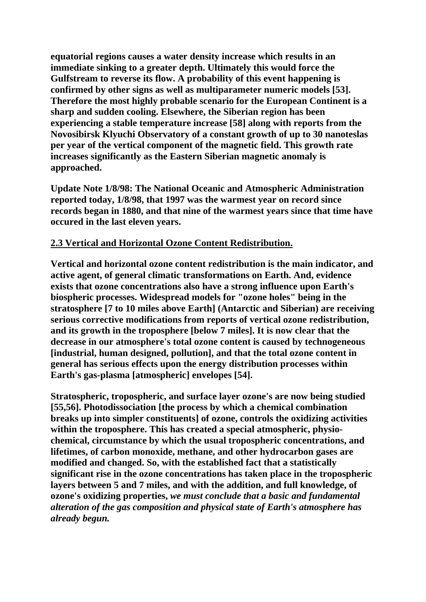**equatorial regions causes a water density increase which results in an immediate sinking to a greater depth. Ultimately this would force the Gulfstream to reverse its flow. A probability of this event happening is confirmed by other signs as well as multiparameter numeric models [53]. Therefore the most highly probable scenario for the European Continent is a sharp and sudden cooling. Elsewhere, the Siberian region has been experiencing a stable temperature increase [58] along with reports from the Novosibirsk Klyuchi Observatory of a constant growth of up to 30 nanoteslas per year of the vertical component of the magnetic field. This growth rate increases significantly as the Eastern Siberian magnetic anomaly is approached.**

**Update Note 1/8/98: The National Oceanic and Atmospheric Administration reported today, 1/8/98, that 1997 was the warmest year on record since records began in 1880, and that nine of the warmest years since that time have occured in the last eleven years.**

#### **2.3 Vertical and Horizontal Ozone Content Redistribution.**

**Vertical and horizontal ozone content redistribution is the main indicator, and active agent, of general climatic transformations on Earth. And, evidence exists that ozone concentrations also have a strong influence upon Earth's biospheric processes. Widespread models for "ozone holes" being in the stratosphere [7 to 10 miles above Earth] (Antarctic and Siberian) are receiving serious corrective modifications from reports of vertical ozone redistribution, and its growth in the troposphere [below 7 miles]. It is now clear that the decrease in our atmosphere's total ozone content is caused by technogeneous [industrial, human designed, pollution], and that the total ozone content in general has serious effects upon the energy distribution processes within Earth's gas-plasma [atmospheric] envelopes [54].**

**Stratospheric, tropospheric, and surface layer ozone's are now being studied [55,56]. Photodissociation [the process by which a chemical combination breaks up into simpler constituents] of ozone, controls the oxidizing activities within the troposphere. This has created a special atmospheric, physiochemical, circumstance by which the usual tropospheric concentrations, and lifetimes, of carbon monoxide, methane, and other hydrocarbon gases are modified and changed. So, with the established fact that a statistically significant rise in the ozone concentrations has taken place in the tropospheric layers between 5 and 7 miles, and with the addition, and full knowledge, of ozone's oxidizing properties,** *we must conclude that a basic and fundamental alteration of the gas composition and physical state of Earth's atmosphere has already begun.*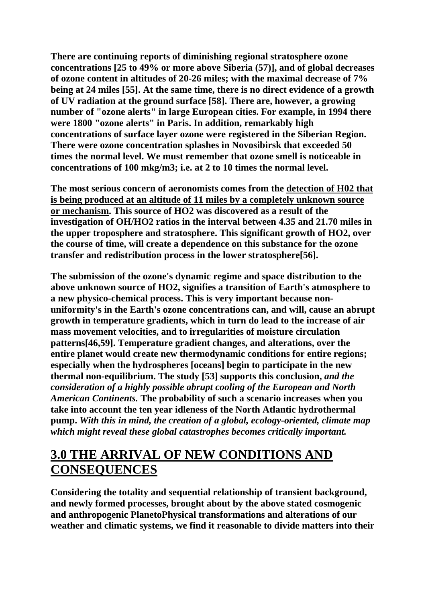**There are continuing reports of diminishing regional stratosphere ozone concentrations [25 to 49% or more above Siberia (57)], and of global decreases of ozone content in altitudes of 20-26 miles; with the maximal decrease of 7% being at 24 miles [55]. At the same time, there is no direct evidence of a growth of UV radiation at the ground surface [58]. There are, however, a growing number of "ozone alerts" in large European cities. For example, in 1994 there were 1800 "ozone alerts" in Paris. In addition, remarkably high concentrations of surface layer ozone were registered in the Siberian Region. There were ozone concentration splashes in Novosibirsk that exceeded 50 times the normal level. We must remember that ozone smell is noticeable in concentrations of 100 mkg/m3; i.e. at 2 to 10 times the normal level.**

**The most serious concern of aeronomists comes from the detection of H02 that is being produced at an altitude of 11 miles by a completely unknown source or mechanism. This source of HO2 was discovered as a result of the investigation of OH/HO2 ratios in the interval between 4.35 and 21.70 miles in the upper troposphere and stratosphere. This significant growth of HO2, over the course of time, will create a dependence on this substance for the ozone transfer and redistribution process in the lower stratosphere[56].**

**The submission of the ozone's dynamic regime and space distribution to the above unknown source of HO2, signifies a transition of Earth's atmosphere to a new physico-chemical process. This is very important because nonuniformity's in the Earth's ozone concentrations can, and will, cause an abrupt growth in temperature gradients, which in turn do lead to the increase of air mass movement velocities, and to irregularities of moisture circulation patterns[46,59]. Temperature gradient changes, and alterations, over the entire planet would create new thermodynamic conditions for entire regions; especially when the hydrospheres [oceans] begin to participate in the new thermal non-equilibrium. The study [53] supports this conclusion,** *and the consideration of a highly possible abrupt cooling of the European and North American Continents.* **The probability of such a scenario increases when you take into account the ten year idleness of the North Atlantic hydrothermal pump.** *With this in mind, the creation of a global, ecology-oriented, climate map which might reveal these global catastrophes becomes critically important.*

# **3.0 THE ARRIVAL OF NEW CONDITIONS AND CONSEQUENCES**

**Considering the totality and sequential relationship of transient background, and newly formed processes, brought about by the above stated cosmogenic and anthropogenic PlanetoPhysical transformations and alterations of our weather and climatic systems, we find it reasonable to divide matters into their**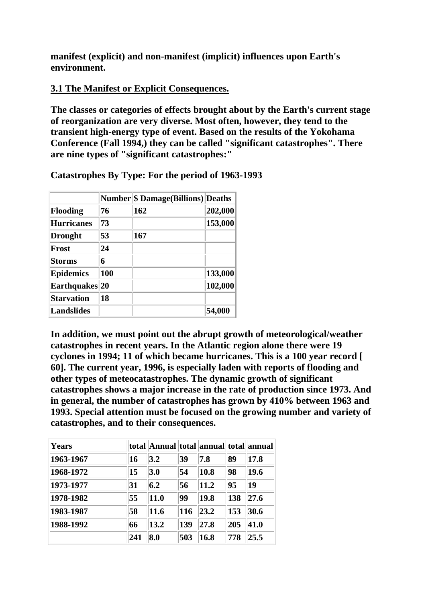**manifest (explicit) and non-manifest (implicit) influences upon Earth's environment.**

#### **3.1 The Manifest or Explicit Consequences.**

**The classes or categories of effects brought about by the Earth's current stage of reorganization are very diverse. Most often, however, they tend to the transient high-energy type of event. Based on the results of the Yokohama Conference (Fall 1994,) they can be called "significant catastrophes". There are nine types of "significant catastrophes:"**

|                           |     | <b>Number \$</b> Damage(Billions) Deaths |         |
|---------------------------|-----|------------------------------------------|---------|
| <b>Flooding</b>           | 76  | 162                                      | 202,000 |
| <b>Hurricanes</b>         | 73  |                                          | 153,000 |
| <b>Drought</b>            | 53  | 167                                      |         |
| Frost                     | 24  |                                          |         |
| <b>Storms</b>             | 6   |                                          |         |
| <b>Epidemics</b>          | 100 |                                          | 133,000 |
| Earthquakes <sup>20</sup> |     |                                          | 102,000 |
| <b>Starvation</b>         | 18  |                                          |         |
| <b>Landslides</b>         |     |                                          | 54,000  |

**Catastrophes By Type: For the period of 1963-1993**

**In addition, we must point out the abrupt growth of meteorological/weather catastrophes in recent years. In the Atlantic region alone there were 19 cyclones in 1994; 11 of which became hurricanes. This is a 100 year record [ 60]. The current year, 1996, is especially laden with reports of flooding and other types of meteocatastrophes. The dynamic growth of significant catastrophes shows a major increase in the rate of production since 1973. And in general, the number of catastrophes has grown by 410% between 1963 and 1993. Special attention must be focused on the growing number and variety of catastrophes, and to their consequences.**

| Years     |     | total Annual total annual total annual |            |      |     |      |
|-----------|-----|----------------------------------------|------------|------|-----|------|
| 1963-1967 | 16  | 3.2                                    | 39         | 7.8  | 89  | 17.8 |
| 1968-1972 | 15  | 3.0                                    | 54         | 10.8 | 98  | 19.6 |
| 1973-1977 | 31  | 6.2                                    | 56         | 11.2 | 95  | 19   |
| 1978-1982 | 55  | <b>11.0</b>                            | 99         | 19.8 | 138 | 27.6 |
| 1983-1987 | 58  | 11.6                                   | <b>116</b> | 23.2 | 153 | 30.6 |
| 1988-1992 | 66  | 13.2                                   | 139        | 27.8 | 205 | 41.0 |
|           | 241 | 8.0                                    | 503        | 16.8 | 778 | 25.5 |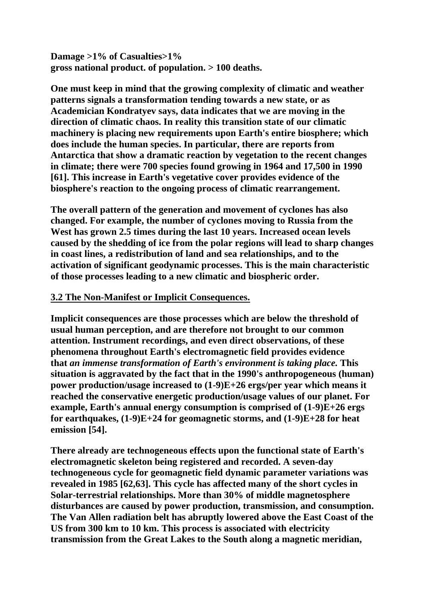**Damage >1% of Casualties>1% gross national product. of population. > 100 deaths.**

**One must keep in mind that the growing complexity of climatic and weather patterns signals a transformation tending towards a new state, or as Academician Kondratyev says, data indicates that we are moving in the direction of climatic chaos. In reality this transition state of our climatic machinery is placing new requirements upon Earth's entire biosphere; which does include the human species. In particular, there are reports from Antarctica that show a dramatic reaction by vegetation to the recent changes in climate; there were 700 species found growing in 1964 and 17,500 in 1990 [61]. This increase in Earth's vegetative cover provides evidence of the biosphere's reaction to the ongoing process of climatic rearrangement.**

**The overall pattern of the generation and movement of cyclones has also changed. For example, the number of cyclones moving to Russia from the West has grown 2.5 times during the last 10 years. Increased ocean levels caused by the shedding of ice from the polar regions will lead to sharp changes in coast lines, a redistribution of land and sea relationships, and to the activation of significant geodynamic processes. This is the main characteristic of those processes leading to a new climatic and biospheric order.**

#### **3.2 The Non-Manifest or Implicit Consequences.**

**Implicit consequences are those processes which are below the threshold of usual human perception, and are therefore not brought to our common attention. Instrument recordings, and even direct observations, of these phenomena throughout Earth's electromagnetic field provides evidence that** *an immense transformation of Earth's environment is taking place.* **This situation is aggravated by the fact that in the 1990's anthropogeneous (human) power production/usage increased to (1-9)E+26 ergs/per year which means it reached the conservative energetic production/usage values of our planet. For example, Earth's annual energy consumption is comprised of (1-9)E+26 ergs for earthquakes, (1-9)E+24 for geomagnetic storms, and (1-9)E+28 for heat emission [54].**

**There already are technogeneous effects upon the functional state of Earth's electromagnetic skeleton being registered and recorded. A seven-day technogeneous cycle for geomagnetic field dynamic parameter variations was revealed in 1985 [62,63]. This cycle has affected many of the short cycles in Solar-terrestrial relationships. More than 30% of middle magnetosphere disturbances are caused by power production, transmission, and consumption. The Van Allen radiation belt has abruptly lowered above the East Coast of the US from 300 km to 10 km. This process is associated with electricity transmission from the Great Lakes to the South along a magnetic meridian,**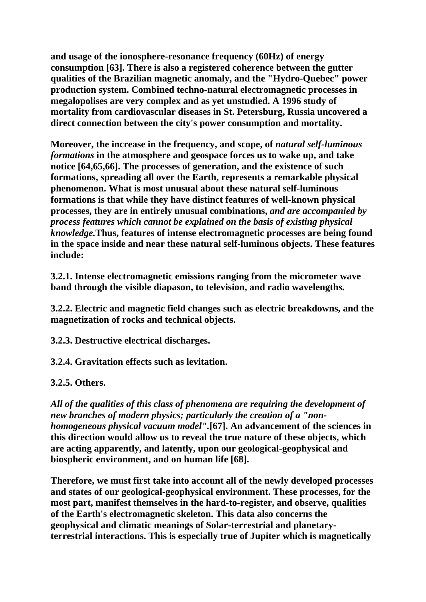**and usage of the ionosphere-resonance frequency (60Hz) of energy consumption [63]. There is also a registered coherence between the gutter qualities of the Brazilian magnetic anomaly, and the "Hydro-Quebec" power production system. Combined techno-natural electromagnetic processes in megalopolises are very complex and as yet unstudied. A 1996 study of mortality from cardiovascular diseases in St. Petersburg, Russia uncovered a direct connection between the city's power consumption and mortality.**

**Moreover, the increase in the frequency, and scope, of** *natural self-luminous formations* **in the atmosphere and geospace forces us to wake up, and take notice [64,65,66]. The processes of generation, and the existence of such formations, spreading all over the Earth, represents a remarkable physical phenomenon. What is most unusual about these natural self-luminous formations is that while they have distinct features of well-known physical processes, they are in entirely unusual combinations,** *and are accompanied by process features which cannot be explained on the basis of existing physical knowledge.***Thus, features of intense electromagnetic processes are being found in the space inside and near these natural self-luminous objects. These features include:**

**3.2.1. Intense electromagnetic emissions ranging from the micrometer wave band through the visible diapason, to television, and radio wavelengths.**

**3.2.2. Electric and magnetic field changes such as electric breakdowns, and the magnetization of rocks and technical objects.**

**3.2.3. Destructive electrical discharges.**

**3.2.4. Gravitation effects such as levitation.**

#### **3.2.5. Others.**

*All of the qualities of this class of phenomena are requiring the development of new branches of modern physics; particularly the creation of a "nonhomogeneous physical vacuum model".***[67]. An advancement of the sciences in this direction would allow us to reveal the true nature of these objects, which are acting apparently, and latently, upon our geological-geophysical and biospheric environment, and on human life [68].**

**Therefore, we must first take into account all of the newly developed processes and states of our geological-geophysical environment. These processes, for the most part, manifest themselves in the hard-to-register, and observe, qualities of the Earth's electromagnetic skeleton. This data also concerns the geophysical and climatic meanings of Solar-terrestrial and planetaryterrestrial interactions. This is especially true of Jupiter which is magnetically**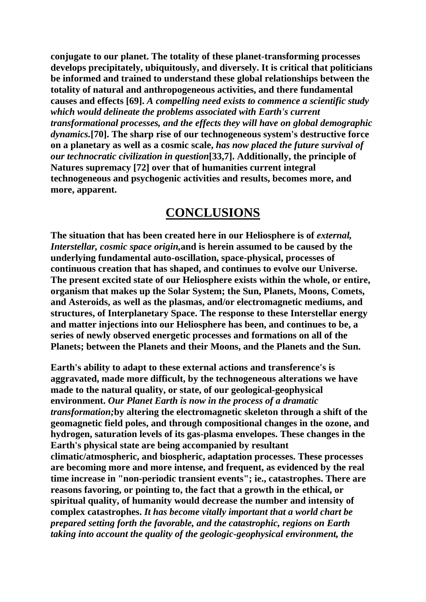**conjugate to our planet. The totality of these planet-transforming processes develops precipitately, ubiquitously, and diversely. It is critical that politicians be informed and trained to understand these global relationships between the totality of natural and anthropogeneous activities, and there fundamental causes and effects [69].** *A compelling need exists to commence a scientific study which would delineate the problems associated with Earth's current transformational processes, and the effects they will have on global demographic dynamics.***[70]. The sharp rise of our technogeneous system's destructive force on a planetary as well as a cosmic scale,** *has now placed the future survival of our technocratic civilization in question***[33,7]. Additionally, the principle of Natures supremacy [72] over that of humanities current integral technogeneous and psychogenic activities and results, becomes more, and more, apparent.**

#### **CONCLUSIONS**

The situation that has been created here in our Heliosphere is of *external*, *Interstellar, cosmic space origin,***and is herein assumed to be caused by the underlying fundamental auto-oscillation, space-physical, processes of continuous creation that has shaped, and continues to evolve our Universe. The present excited state of our Heliosphere exists within the whole, or entire, organism that makes up the Solar System; the Sun, Planets, Moons, Comets, and Asteroids, as well as the plasmas, and/or electromagnetic mediums, and structures, of Interplanetary Space. The response to these Interstellar energy and matter injections into our Heliosphere has been, and continues to be, a series of newly observed energetic processes and formations on all of the Planets; between the Planets and their Moons, and the Planets and the Sun.**

**Earth's ability to adapt to these external actions and transference's is aggravated, made more difficult, by the technogeneous alterations we have made to the natural quality, or state, of our geological-geophysical environment.** *Our Planet Earth is now in the process of a dramatic transformation;***by altering the electromagnetic skeleton through a shift of the geomagnetic field poles, and through compositional changes in the ozone, and hydrogen, saturation levels of its gas-plasma envelopes. These changes in the Earth's physical state are being accompanied by resultant climatic/atmospheric, and biospheric, adaptation processes. These processes are becoming more and more intense, and frequent, as evidenced by the real time increase in "non-periodic transient events"; ie., catastrophes. There are reasons favoring, or pointing to, the fact that a growth in the ethical, or spiritual quality, of humanity would decrease the number and intensity of complex catastrophes.** *It has become vitally important that a world chart be prepared setting forth the favorable, and the catastrophic, regions on Earth taking into account the quality of the geologic-geophysical environment, the*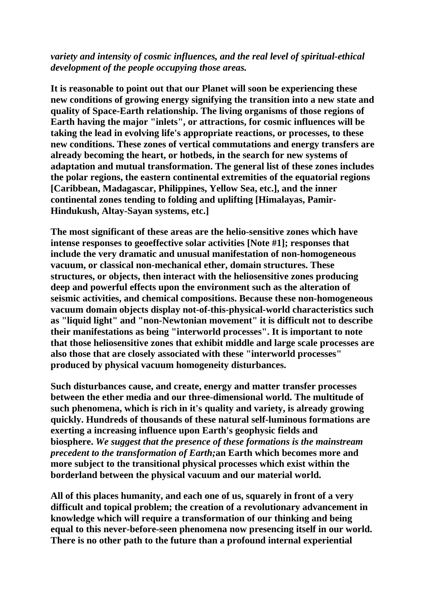#### *variety and intensity of cosmic influences, and the real level of spiritual-ethical development of the people occupying those areas.*

**It is reasonable to point out that our Planet will soon be experiencing these new conditions of growing energy signifying the transition into a new state and quality of Space-Earth relationship. The living organisms of those regions of Earth having the major "inlets", or attractions, for cosmic influences will be taking the lead in evolving life's appropriate reactions, or processes, to these new conditions. These zones of vertical commutations and energy transfers are already becoming the heart, or hotbeds, in the search for new systems of adaptation and mutual transformation. The general list of these zones includes the polar regions, the eastern continental extremities of the equatorial regions [Caribbean, Madagascar, Philippines, Yellow Sea, etc.], and the inner continental zones tending to folding and uplifting [Himalayas, Pamir-Hindukush, Altay-Sayan systems, etc.]**

**The most significant of these areas are the helio-sensitive zones which have intense responses to geoeffective solar activities [Note #1]; responses that include the very dramatic and unusual manifestation of non-homogeneous vacuum, or classical non-mechanical ether, domain structures. These structures, or objects, then interact with the heliosensitive zones producing deep and powerful effects upon the environment such as the alteration of seismic activities, and chemical compositions. Because these non-homogeneous vacuum domain objects display not-of-this-physical-world characteristics such as "liquid light" and "non-Newtonian movement" it is difficult not to describe their manifestations as being "interworld processes". It is important to note that those heliosensitive zones that exhibit middle and large scale processes are also those that are closely associated with these "interworld processes" produced by physical vacuum homogeneity disturbances.**

**Such disturbances cause, and create, energy and matter transfer processes between the ether media and our three-dimensional world. The multitude of such phenomena, which is rich in it's quality and variety, is already growing quickly. Hundreds of thousands of these natural self-luminous formations are exerting a increasing influence upon Earth's geophysic fields and biosphere.** *We suggest that the presence of these formations is the mainstream precedent to the transformation of Earth;***an Earth which becomes more and more subject to the transitional physical processes which exist within the borderland between the physical vacuum and our material world.**

**All of this places humanity, and each one of us, squarely in front of a very difficult and topical problem; the creation of a revolutionary advancement in knowledge which will require a transformation of our thinking and being equal to this never-before-seen phenomena now presencing itself in our world. There is no other path to the future than a profound internal experiential**